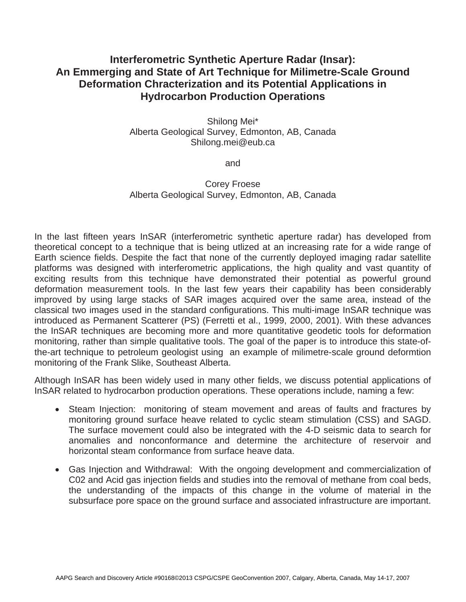## **Interferometric Synthetic Aperture Radar (Insar): An Emmerging and State of Art Technique for Milimetre-Scale Ground Deformation Chracterization and its Potential Applications in Hydrocarbon Production Operations**

Shilong Mei\* Alberta Geological Survey, Edmonton, AB, Canada Shilong.mei@eub.ca

and

## Corey Froese Alberta Geological Survey, Edmonton, AB, Canada

In the last fifteen years InSAR (interferometric synthetic aperture radar) has developed from theoretical concept to a technique that is being utlized at an increasing rate for a wide range of Earth science fields. Despite the fact that none of the currently deployed imaging radar satellite platforms was designed with interferometric applications, the high quality and vast quantity of exciting results from this technique have demonstrated their potential as powerful ground deformation measurement tools. In the last few years their capability has been considerably improved by using large stacks of SAR images acquired over the same area, instead of the classical two images used in the standard configurations. This multi-image InSAR technique was introduced as Permanent Scatterer (PS) (Ferretti et al., 1999, 2000, 2001). With these advances the InSAR techniques are becoming more and more quantitative geodetic tools for deformation monitoring, rather than simple qualitative tools. The goal of the paper is to introduce this state-ofthe-art technique to petroleum geologist using an example of milimetre-scale ground deformtion monitoring of the Frank Slike, Southeast Alberta.

Although InSAR has been widely used in many other fields, we discuss potential applications of InSAR related to hydrocarbon production operations. These operations include, naming a few:

- Steam Injection: monitoring of steam movement and areas of faults and fractures by monitoring ground surface heave related to cyclic steam stimulation (CSS) and SAGD. The surface movement could also be integrated with the 4-D seismic data to search for anomalies and nonconformance and determine the architecture of reservoir and horizontal steam conformance from surface heave data.
- Gas Injection and Withdrawal: With the ongoing development and commercialization of C02 and Acid gas injection fields and studies into the removal of methane from coal beds, the understanding of the impacts of this change in the volume of material in the subsurface pore space on the ground surface and associated infrastructure are important.